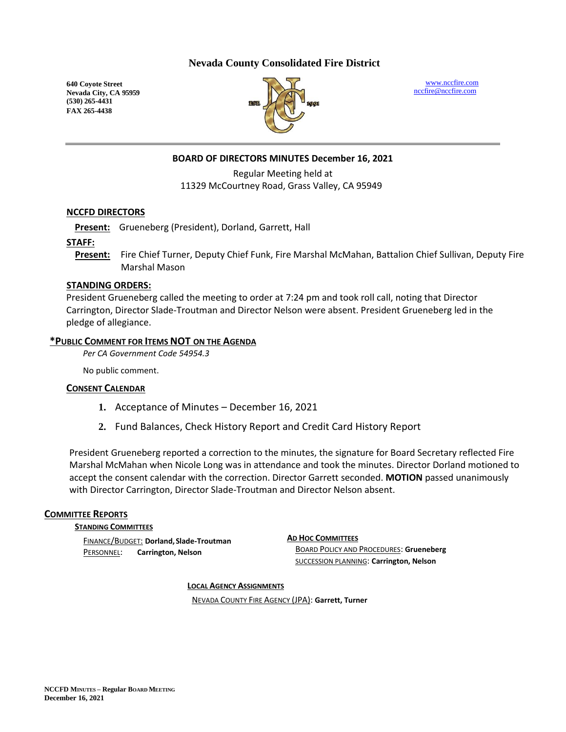## **Nevada County Consolidated Fire District**

**640 Coyote Street Nevada City, CA 95959 (530) 265-4431 FAX 265-4438**



[www.nccfire.com](http://www.nccfire.com/) [nccfire@nccfire.com](mailto:nccfire@nccfire.com)

## **BOARD OF DIRECTORS MINUTES December 16, 2021**

Regular Meeting held at 11329 McCourtney Road, Grass Valley, CA 95949

#### **NCCFD DIRECTORS**

**Present:** Grueneberg (President), Dorland, Garrett, Hall

#### **STAFF:**

**Present:** Fire Chief Turner, Deputy Chief Funk, Fire Marshal McMahan, Battalion Chief Sullivan, Deputy Fire Marshal Mason

#### **STANDING ORDERS:**

President Grueneberg called the meeting to order at 7:24 pm and took roll call, noting that Director Carrington, Director Slade-Troutman and Director Nelson were absent. President Grueneberg led in the pledge of allegiance.

#### **\*PUBLIC COMMENT FOR ITEMS NOT ON THE AGENDA**

*Per CA Government Code 54954.3*

No public comment.

#### **CONSENT CALENDAR**

- **1.** Acceptance of Minutes December 16, 2021
- **2.** Fund Balances, Check History Report and Credit Card History Report

President Grueneberg reported a correction to the minutes, the signature for Board Secretary reflected Fire Marshal McMahan when Nicole Long was in attendance and took the minutes. Director Dorland motioned to accept the consent calendar with the correction. Director Garrett seconded. **MOTION** passed unanimously with Director Carrington, Director Slade-Troutman and Director Nelson absent.

#### **COMMITTEE REPORTS**

**STANDING COMMITTEES**

FINANCE/BUDGET: **Dorland,Slade-Troutman** PERSONNEL: **Carrington, Nelson**

#### **AD HOC COMMITTEES**

BOARD POLICY AND PROCEDURES: **Grueneberg** SUCCESSION PLANNING: **Carrington, Nelson**

**LOCAL AGENCY ASSIGNMENTS**

NEVADA COUNTY FIRE AGENCY (JPA): **Garrett, Turner**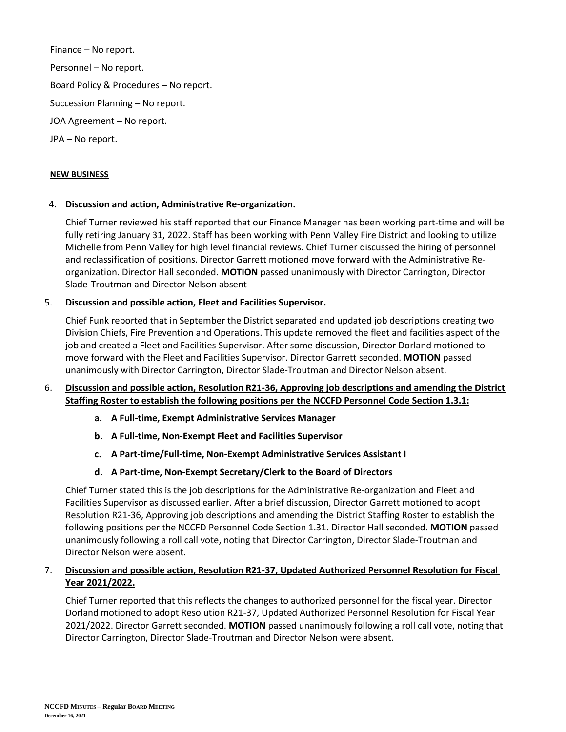Finance – No report. Personnel – No report. Board Policy & Procedures – No report. Succession Planning – No report. JOA Agreement – No report. JPA – No report.

#### **NEW BUSINESS**

#### 4. **Discussion and action, Administrative Re-organization.**

Chief Turner reviewed his staff reported that our Finance Manager has been working part-time and will be fully retiring January 31, 2022. Staff has been working with Penn Valley Fire District and looking to utilize Michelle from Penn Valley for high level financial reviews. Chief Turner discussed the hiring of personnel and reclassification of positions. Director Garrett motioned move forward with the Administrative Reorganization. Director Hall seconded. **MOTION** passed unanimously with Director Carrington, Director Slade-Troutman and Director Nelson absent

# 5. **Discussion and possible action, Fleet and Facilities Supervisor.**

Chief Funk reported that in September the District separated and updated job descriptions creating two Division Chiefs, Fire Prevention and Operations. This update removed the fleet and facilities aspect of the job and created a Fleet and Facilities Supervisor. After some discussion, Director Dorland motioned to move forward with the Fleet and Facilities Supervisor. Director Garrett seconded. **MOTION** passed unanimously with Director Carrington, Director Slade-Troutman and Director Nelson absent.

#### 6. **Discussion and possible action, Resolution R21-36, Approving job descriptions and amending the District Staffing Roster to establish the following positions per the NCCFD Personnel Code Section 1.3.1:**

- **a. A Full-time, Exempt Administrative Services Manager**
- **b. A Full-time, Non-Exempt Fleet and Facilities Supervisor**
- **c. A Part-time/Full-time, Non-Exempt Administrative Services Assistant I**
- **d. A Part-time, Non-Exempt Secretary/Clerk to the Board of Directors**

Chief Turner stated this is the job descriptions for the Administrative Re-organization and Fleet and Facilities Supervisor as discussed earlier. After a brief discussion, Director Garrett motioned to adopt Resolution R21-36, Approving job descriptions and amending the District Staffing Roster to establish the following positions per the NCCFD Personnel Code Section 1.31. Director Hall seconded. **MOTION** passed unanimously following a roll call vote, noting that Director Carrington, Director Slade-Troutman and Director Nelson were absent.

# 7. **Discussion and possible action, Resolution R21-37, Updated Authorized Personnel Resolution for Fiscal Year 2021/2022.**

Chief Turner reported that this reflects the changes to authorized personnel for the fiscal year. Director Dorland motioned to adopt Resolution R21-37, Updated Authorized Personnel Resolution for Fiscal Year 2021/2022. Director Garrett seconded. **MOTION** passed unanimously following a roll call vote, noting that Director Carrington, Director Slade-Troutman and Director Nelson were absent.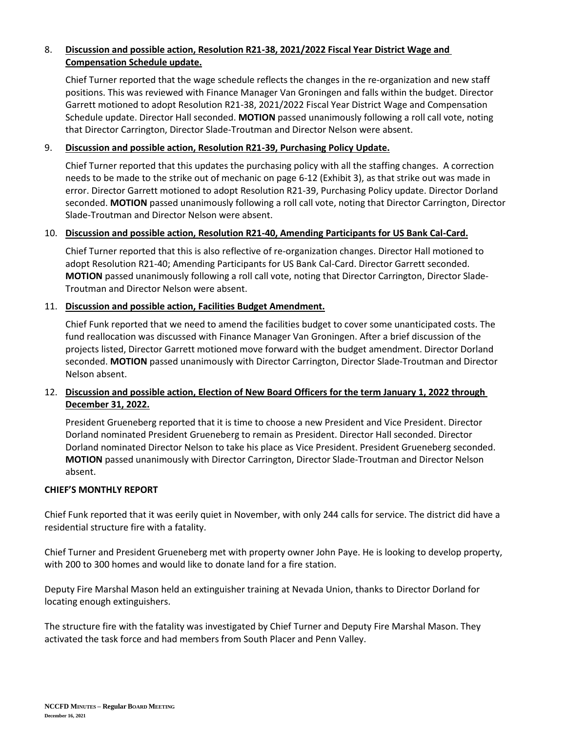# 8. **Discussion and possible action, Resolution R21-38, 2021/2022 Fiscal Year District Wage and Compensation Schedule update.**

Chief Turner reported that the wage schedule reflects the changes in the re-organization and new staff positions. This was reviewed with Finance Manager Van Groningen and falls within the budget. Director Garrett motioned to adopt Resolution R21-38, 2021/2022 Fiscal Year District Wage and Compensation Schedule update. Director Hall seconded. **MOTION** passed unanimously following a roll call vote, noting that Director Carrington, Director Slade-Troutman and Director Nelson were absent.

# 9. **Discussion and possible action, Resolution R21-39, Purchasing Policy Update.**

Chief Turner reported that this updates the purchasing policy with all the staffing changes. A correction needs to be made to the strike out of mechanic on page 6-12 (Exhibit 3), as that strike out was made in error. Director Garrett motioned to adopt Resolution R21-39, Purchasing Policy update. Director Dorland seconded. **MOTION** passed unanimously following a roll call vote, noting that Director Carrington, Director Slade-Troutman and Director Nelson were absent.

#### 10. **Discussion and possible action, Resolution R21-40, Amending Participants for US Bank Cal-Card.**

Chief Turner reported that this is also reflective of re-organization changes. Director Hall motioned to adopt Resolution R21-40; Amending Participants for US Bank Cal-Card. Director Garrett seconded. **MOTION** passed unanimously following a roll call vote, noting that Director Carrington, Director Slade-Troutman and Director Nelson were absent.

# 11. **Discussion and possible action, Facilities Budget Amendment.**

Chief Funk reported that we need to amend the facilities budget to cover some unanticipated costs. The fund reallocation was discussed with Finance Manager Van Groningen. After a brief discussion of the projects listed, Director Garrett motioned move forward with the budget amendment. Director Dorland seconded. **MOTION** passed unanimously with Director Carrington, Director Slade-Troutman and Director Nelson absent.

# 12. **Discussion and possible action, Election of New Board Officers for the term January 1, 2022 through December 31, 2022.**

President Grueneberg reported that it is time to choose a new President and Vice President. Director Dorland nominated President Grueneberg to remain as President. Director Hall seconded. Director Dorland nominated Director Nelson to take his place as Vice President. President Grueneberg seconded. **MOTION** passed unanimously with Director Carrington, Director Slade-Troutman and Director Nelson absent.

#### **CHIEF'S MONTHLY REPORT**

Chief Funk reported that it was eerily quiet in November, with only 244 calls for service. The district did have a residential structure fire with a fatality.

Chief Turner and President Grueneberg met with property owner John Paye. He is looking to develop property, with 200 to 300 homes and would like to donate land for a fire station.

Deputy Fire Marshal Mason held an extinguisher training at Nevada Union, thanks to Director Dorland for locating enough extinguishers.

The structure fire with the fatality was investigated by Chief Turner and Deputy Fire Marshal Mason. They activated the task force and had members from South Placer and Penn Valley.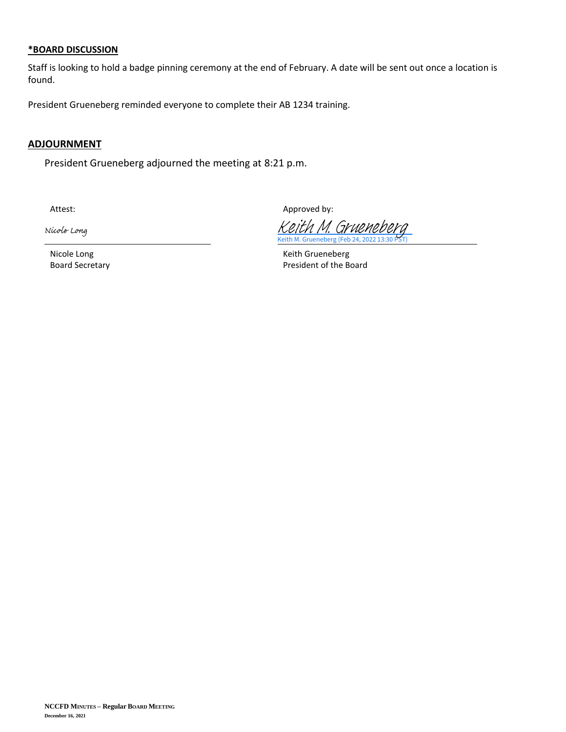#### **\*BOARD DISCUSSION**

Staff is looking to hold a badge pinning ceremony at the end of February. A date will be sent out once a location is found.

President Grueneberg reminded everyone to complete their AB 1234 training.

## **ADJOURNMENT**

President Grueneberg adjourned the meeting at 8:21 p.m.

Nicole Long

Attest: Attest: Attest: Approved by: Approved by:

Keith M. Grueneberg (Feb 24, 2022 13 [Keith M. Grueneberg](https://na1.documents.adobe.com/verifier?tx=CBJCHBCAABAAz4aM_z2dspbVejQzN3d0jPoyRzbWWFCo)

Nicole Long **Keith Grueneberg** Keith Grueneberg Board Secretary **President of the Board**